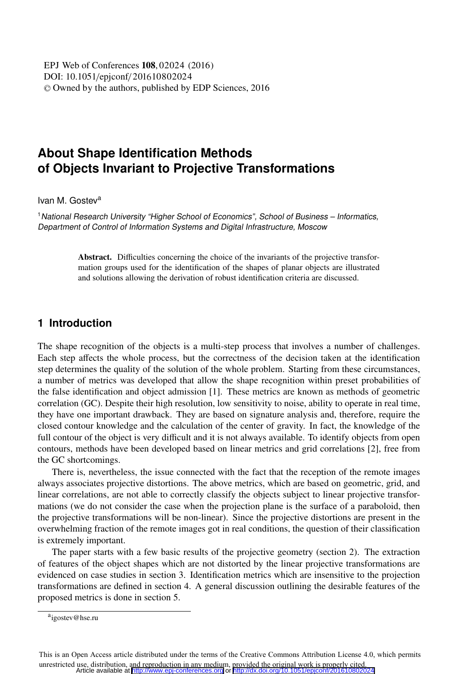DOI: 10.1051/epjconf/201610802024 -<sup>C</sup> Owned by the authors, published by EDP Sciences, 201 6 EPJ Web of Conferences 108, 02024 (2016)

# **About Shape Identification Methods of Objects Invariant to Projective Transformations**

Ivan M. Gostev<sup>a</sup>

<sup>1</sup> National Research University "Higher School of Economics", School of Business – Informatics, Department of Control of Information Systems and Digital Infrastructure, Moscow

> Abstract. Difficulties concerning the choice of the invariants of the projective transformation groups used for the identification of the shapes of planar objects are illustrated and solutions allowing the derivation of robust identification criteria are discussed.

## **1 Introduction**

The shape recognition of the objects is a multi-step process that involves a number of challenges. Each step affects the whole process, but the correctness of the decision taken at the identification step determines the quality of the solution of the whole problem. Starting from these circumstances, a number of metrics was developed that allow the shape recognition within preset probabilities of the false identification and object admission [1]. These metrics are known as methods of geometric correlation (GC). Despite their high resolution, low sensitivity to noise, ability to operate in real time, they have one important drawback. They are based on signature analysis and, therefore, require the closed contour knowledge and the calculation of the center of gravity. In fact, the knowledge of the full contour of the object is very difficult and it is not always available. To identify objects from open contours, methods have been developed based on linear metrics and grid correlations [2], free from the GC shortcomings.

There is, nevertheless, the issue connected with the fact that the reception of the remote images always associates projective distortions. The above metrics, which are based on geometric, grid, and linear correlations, are not able to correctly classify the objects subject to linear projective transformations (we do not consider the case when the projection plane is the surface of a paraboloid, then the projective transformations will be non-linear). Since the projective distortions are present in the overwhelming fraction of the remote images got in real conditions, the question of their classification is extremely important.

The paper starts with a few basic results of the projective geometry (section 2). The extraction of features of the object shapes which are not distorted by the linear projective transformations are evidenced on case studies in section 3. Identification metrics which are insensitive to the projection transformations are defined in section 4. A general discussion outlining the desirable features of the proposed metrics is done in section 5.

aigostev@hse.ru

This is an Open Access article distributed under the terms of the Creative Commons Attribution License 4.0, which permits unrestricted use, distribution, and reproduction in any medium, provided the original work is properly cited.<br>Article available at <http://www.epj-conferences.org> or <http://dx.doi.org/10.1051/epjconf/201610802024>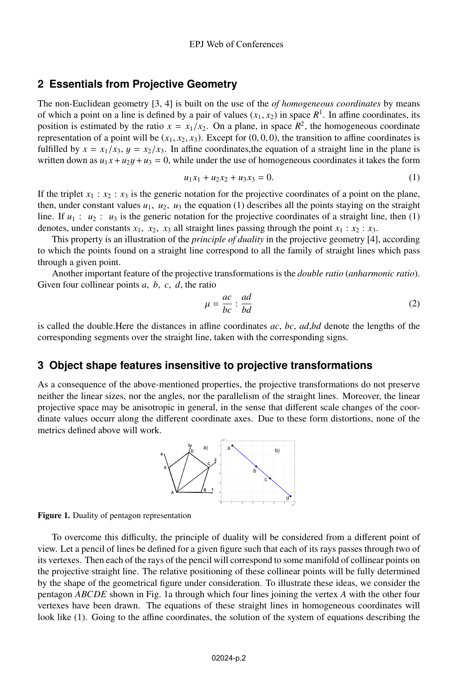## **2 Essentials from Projective Geometry**

The non-Euclidean geometry [3, 4] is built on the use of the *of homogeneous coordinates* by means of which a point on a line is defined by a pair of values  $(x_1, x_2)$  in space  $R^1$ . In affine coordinates, its position is estimated by the ratio  $x = x_1/x_2$ . On a plane, in space  $R^2$ , the homogeneous coordinate representation of a point will be  $(x_1, x_2, x_3)$ . Except for  $(0, 0, 0)$ , the transition to affine coordinates is fulfilled by  $x = x_1/x_3$ ,  $y = x_2/x_3$ . In affine coordinates, the equation of a straight line in the plane is written down as  $u_1 x + u_2 y + u_3 = 0$ , while under the use of homogeneous coordinates it takes the form

$$
u_1x_1 + u_2x_2 + u_3x_3 = 0. \tag{1}
$$

If the triplet  $x_1 : x_2 : x_3$  is the generic notation for the projective coordinates of a point on the plane, then, under constant values  $u_1$ ,  $u_2$ ,  $u_3$ , the equation (1) describes all the points staying on the straight line. If  $u_1 : u_2 : u_3$  is the generic notation for the projective coordinates of a straight line, then (1) denotes, under constants  $x_1$ ,  $x_2$ ,  $x_3$  all straight lines passing through the point  $x_1 : x_2 : x_3$ .

This property is an illustration of the *principle of duality* in the projective geometry [4], according to which the points found on a straight line correspond to all the family of straight lines which pass through a given point.

Another important feature of the projective transformations is the *double ratio* (*anharmonic ratio*). Given four collinear points *a*, *b*, *c*, *d*, the ratio

$$
\mu = \frac{ac}{bc} : \frac{ad}{bd} \tag{2}
$$

is called the double.Here the distances in affine coordinates *ac*, *bc*, *ad*,*bd* denote the lengths of the corresponding segments over the straight line, taken with the corresponding signs.

## **3 Object shape features insensitive to projective transformations**

As a consequence of the above-mentioned properties, the projective transformations do not preserve neither the linear sizes, nor the angles, nor the parallelism of the straight lines. Moreover, the linear projective space may be anisotropic in general, in the sense that different scale changes of the coordinate values occurr along the different coordinate axes. Due to these form distortions, none of the metrics defined above will work.



Figure 1. Duality of pentagon representation

To overcome this difficulty, the principle of duality will be considered from a different point of view. Let a pencil of lines be defined for a given figure such that each of its rays passes through two of its vertexes. Then each of the rays of the pencil will correspond to some manifold of collinear points on the projective straight line. The relative positioning of these collinear points will be fully determined by the shape of the geometrical figure under consideration. To illustrate these ideas, we consider the pentagon *ABCDE* shown in Fig. 1a through which four lines joining the vertex *A* with the other four vertexes have been drawn. The equations of these straight lines in homogeneous coordinates will look like (1). Going to the affine coordinates, the solution of the system of equations describing the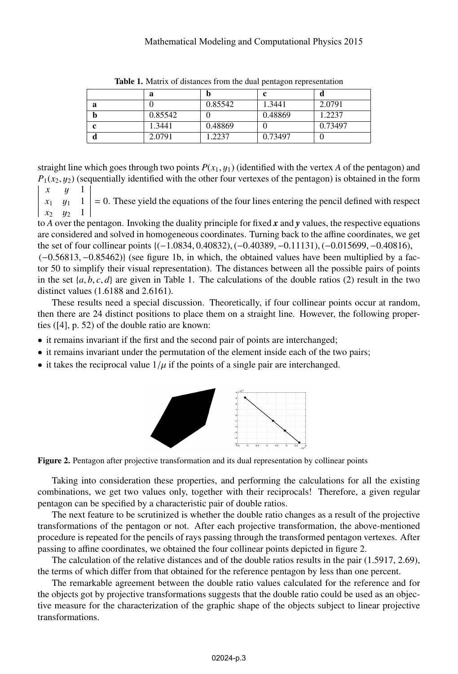#### Mathematical Modeling and Computational Physics 2015

|   | a       |         |         |         |  |  |
|---|---------|---------|---------|---------|--|--|
| a |         | 0.85542 | 1.3441  | 2.0791  |  |  |
|   | 0.85542 |         | 0.48869 | 1.2237  |  |  |
| c | 1.3441  | 0.48869 |         | 0.73497 |  |  |
| d | 2.0791  | 1.2237  | 0.73497 |         |  |  |

Table 1. Matrix of distances from the dual pentagon representation

straight line which goes through two points  $P(x_1, y_1)$  (identified with the vertex *A* of the pentagon) and  $P_1(x_2, y_2)$  (sequentially identified with the other four vertexes of the pentagon) is obtained in the form -1  $x \quad y \quad 1$ -

1 1 1 -1  $x_1$   $y_1$  1  $x_2$   $y_2$  1  $\vert$  = 0. These yield the equations of the four lines entering the pencil defined with respect -

 $\begin{vmatrix} 1 & 42 & 92 \\ 4 & 1 & 1 \end{vmatrix}$  to *A* over the pentagon. Invoking the duality principle for fixed *x* and *y* values, the respective equations are considered and solved in homogeneous coordinates. Turning back to the affine coordinates, we get the set of four collinear points {(−1.0834, 0.40832), (−0.40389, −0.11131),(−0.015699, −0.40816),

(−0.56813, −0.85462)} (see figure 1b, in which, the obtained values have been multiplied by a factor 50 to simplify their visual representation). The distances between all the possible pairs of points in the set  $\{a, b, c, d\}$  are given in Table 1. The calculations of the double ratios (2) result in the two distinct values (1.6188 and 2.6161).

These results need a special discussion. Theoretically, if four collinear points occur at random, then there are 24 distinct positions to place them on a straight line. However, the following properties ([4], p. 52) of the double ratio are known:

- it remains invariant if the first and the second pair of points are interchanged;
- it remains invariant under the permutation of the element inside each of the two pairs;
- it takes the reciprocal value  $1/\mu$  if the points of a single pair are interchanged.



Figure 2. Pentagon after projective transformation and its dual representation by collinear points

Taking into consideration these properties, and performing the calculations for all the existing combinations, we get two values only, together with their reciprocals! Therefore, a given regular pentagon can be specified by a characteristic pair of double ratios.

The next feature to be scrutinized is whether the double ratio changes as a result of the projective transformations of the pentagon or not. After each projective transformation, the above-mentioned procedure is repeated for the pencils of rays passing through the transformed pentagon vertexes. After passing to affine coordinates, we obtained the four collinear points depicted in figure 2.

The calculation of the relative distances and of the double ratios results in the pair (1.5917, 2.69), the terms of which differ from that obtained for the reference pentagon by less than one percent.

The remarkable agreement between the double ratio values calculated for the reference and for the objects got by projective transformations suggests that the double ratio could be used as an objective measure for the characterization of the graphic shape of the objects subject to linear projective transformations.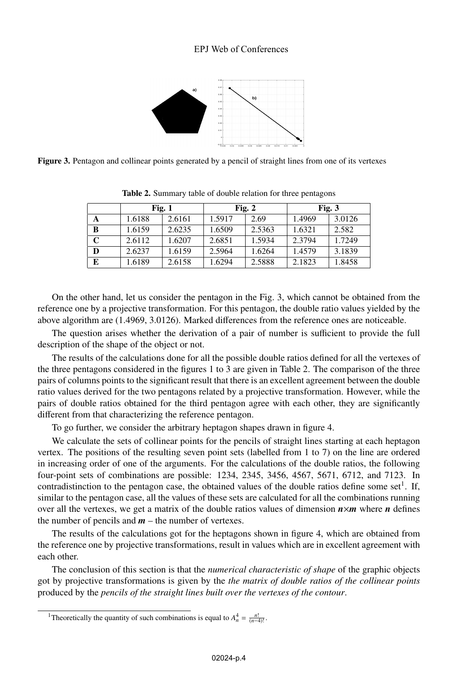

Figure 3. Pentagon and collinear points generated by a pencil of straight lines from one of its vertexes

|             | Fig. 1 |        | Fig. 2 |        | Fig. 3 |        |
|-------------|--------|--------|--------|--------|--------|--------|
| A           | 1.6188 | 2.6161 | 1.5917 | 2.69   | 1.4969 | 3.0126 |
| B           | 1.6159 | 2.6235 | 1.6509 | 2.5363 | 1.6321 | 2.582  |
| $\mathbf C$ | 2.6112 | 1.6207 | 2.6851 | 1.5934 | 2.3794 | 1.7249 |
| D           | 2.6237 | 1.6159 | 2.5964 | 1.6264 | 1.4579 | 3.1839 |
| E           | 1.6189 | 2.6158 | 1.6294 | 2.5888 | 2.1823 | 1.8458 |

Table 2. Summary table of double relation for three pentagons

On the other hand, let us consider the pentagon in the Fig. 3, which cannot be obtained from the reference one by a projective transformation. For this pentagon, the double ratio values yielded by the above algorithm are (1.4969, 3.0126). Marked differences from the reference ones are noticeable.

The question arises whether the derivation of a pair of number is sufficient to provide the full description of the shape of the object or not.

The results of the calculations done for all the possible double ratios defined for all the vertexes of the three pentagons considered in the figures 1 to 3 are given in Table 2. The comparison of the three pairs of columns points to the significant result that there is an excellent agreement between the double ratio values derived for the two pentagons related by a projective transformation. However, while the pairs of double ratios obtained for the third pentagon agree with each other, they are significantly different from that characterizing the reference pentagon.

To go further, we consider the arbitrary heptagon shapes drawn in figure 4.

We calculate the sets of collinear points for the pencils of straight lines starting at each heptagon vertex. The positions of the resulting seven point sets (labelled from 1 to 7) on the line are ordered in increasing order of one of the arguments. For the calculations of the double ratios, the following four-point sets of combinations are possible: 1234, 2345, 3456, 4567, 5671, 6712, and 7123. In contradistinction to the pentagon case, the obtained values of the double ratios define some set<sup>1</sup>. If, similar to the pentagon case, all the values of these sets are calculated for all the combinations running over all the vertexes, we get a matrix of the double ratios values of dimension *n*×*m* where *n* defines the number of pencils and  $m$  – the number of vertexes.

The results of the calculations got for the heptagons shown in figure 4, which are obtained from the reference one by projective transformations, result in values which are in excellent agreement with each other.

The conclusion of this section is that the *numerical characteristic of shape* of the graphic objects got by projective transformations is given by the *the matrix of double ratios of the collinear points* produced by the *pencils of the straight lines built over the vertexes of the contour*.

<sup>&</sup>lt;sup>1</sup>Theoretically the quantity of such combinations is equal to  $A_n^4 = \frac{n!}{(n-4)!}$ .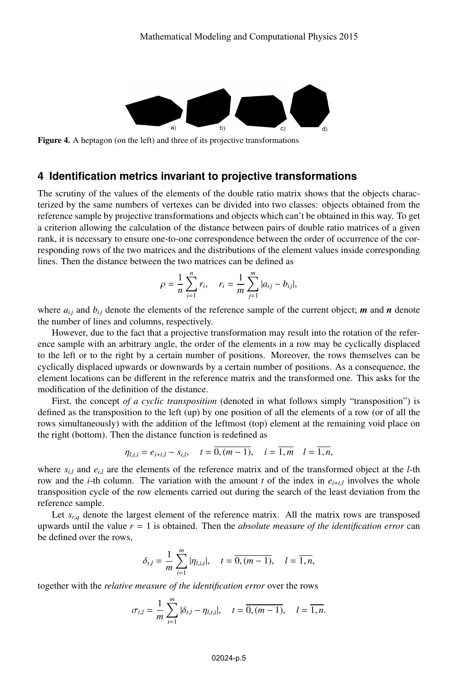

Figure 4. A heptagon (on the left) and three of its projective transformations

### **4 Identification metrics invariant to projective transformations**

The scrutiny of the values of the elements of the double ratio matrix shows that the objects characterized by the same numbers of vertexes can be divided into two classes: objects obtained from the reference sample by projective transformations and objects which can't be obtained in this way. To get a criterion allowing the calculation of the distance between pairs of double ratio matrices of a given rank, it is necessary to ensure one-to-one correspondence between the order of occurrence of the corresponding rows of the two matrices and the distributions of the element values inside corresponding lines. Then the distance between the two matrices can be defined as

$$
\rho = \frac{1}{n} \sum_{i=1}^{n} r_i, \quad r_i = \frac{1}{m} \sum_{j=1}^{m} |a_{ij} - b_{ij}|,
$$

where  $a_{ij}$  and  $b_{ij}$  denote the elements of the reference sample of the current object; *m* and *n* denote the number of lines and columns, respectively.

However, due to the fact that a projective transformation may result into the rotation of the reference sample with an arbitrary angle, the order of the elements in a row may be cyclically displaced to the left or to the right by a certain number of positions. Moreover, the rows themselves can be cyclically displaced upwards or downwards by a certain number of positions. As a consequence, the element locations can be different in the reference matrix and the transformed one. This asks for the modification of the definition of the distance.

First, the concept *of a cyclic transposition* (denoted in what follows simply "transposition") is defined as the transposition to the left (up) by one position of all the elements of a row (or of all the rows simultaneously) with the addition of the leftmost (top) element at the remaining void place on the right (bottom). Then the distance function is redefined as

$$
\eta_{l,t,i} = e_{i+t,l} - s_{i,l}, \quad t = \overline{0, (m-1)}, \quad i = \overline{1, m}, \quad l = \overline{1, n},
$$

where *si*,*<sup>l</sup>* and *ei*,*<sup>l</sup>* are the elements of the reference matrix and of the transformed object at the *l*-th row and the *i*-th column. The variation with the amount *t* of the index in  $e_{i+ t,l}$  involves the whole transposition cycle of the row elements carried out during the search of the least deviation from the reference sample.

Let  $s_{r,q}$  denote the largest element of the reference matrix. All the matrix rows are transposed upwards until the value *r* = 1 is obtained. Then the *absolute measure of the identification error* can be defined over the rows,

$$
\delta_{t,l} = \frac{1}{m} \sum_{i=1}^{m} |\eta_{l,i,t}|, \quad t = \overline{0, (m-1)}, \quad l = \overline{1,n},
$$

together with the *relative measure of the identification error* over the rows

$$
\sigma_{t,l} = \frac{1}{m} \sum_{i=1}^{m} |\delta_{t,l} - \eta_{l,t,i}|, \quad t = \overline{0, (m-1)}, \quad l = \overline{1,n}.
$$